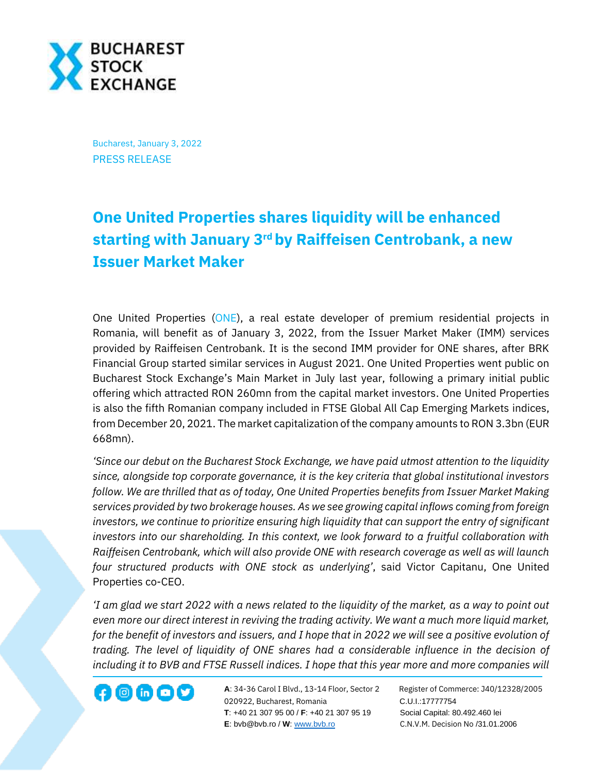

Bucharest, January 3, 2022 PRESS RELEASE

## **One United Properties shares liquidity will be enhanced starting with January 3rd by Raiffeisen Centrobank, a new Issuer Market Maker**

One United Properties [\(ONE\)](https://bvb.ro/FinancialInstruments/Details/FinancialInstrumentsDetails.aspx?s=one), a real estate developer of premium residential projects in Romania, will benefit as of January 3, 2022, from the Issuer Market Maker (IMM) services provided by Raiffeisen Centrobank. It is the second IMM provider for ONE shares, after BRK Financial Group started similar services in August 2021. One United Properties went public on Bucharest Stock Exchange's Main Market in July last year, following a primary initial public offering which attracted RON 260mn from the capital market investors. One United Properties is also the fifth Romanian company included in FTSE Global All Cap Emerging Markets indices, from December 20, 2021. The market capitalization of the company amounts to RON 3.3bn (EUR 668mn).

*'Since our debut on the Bucharest Stock Exchange, we have paid utmost attention to the liquidity since, alongside top corporate governance, it is the key criteria that global institutional investors follow. We are thrilled that as of today, One United Properties benefits from Issuer Market Making services provided by two brokerage houses. As we see growing capital inflows coming from foreign investors, we continue to prioritize ensuring high liquidity that can support the entry of significant investors into our shareholding. In this context, we look forward to a fruitful collaboration with Raiffeisen Centrobank, which will also provide ONE with research coverage as well as will launch four structured products with ONE stock as underlying'*, said Victor Capitanu, One United Properties co-CEO.

*'I am glad we start 2022 with a news related to the liquidity of the market, as a way to point out even more our direct interest in reviving the trading activity. We want a much more liquid market, for the benefit of investors and issuers, and I hope that in 2022 we will see a positive evolution of trading. The level of liquidity of ONE shares had a considerable influence in the decision of including it to BVB and FTSE Russell indices. I hope that this year more and more companies will* 

**A**: 34-36 Carol I Blvd., 13-14 Floor, Sector 2 Register of Commerce: J40/12328/2005 **1200 CD CD CONF** A: 34-36 Carol I Blvd., 13-14 Floor, Sector 2 Register of Comm<br>020922, Bucharest, Romania C.U.I.:17777754  **T**: +40 21 307 95 00 / **F**: +40 21 307 95 19 Social Capital: 80.492.460 lei **E**: bvb@bvb.ro / **W**[: www.bvb.ro](http://www.bvb.ro/) C.N.V.M. Decision No /31.01.2006